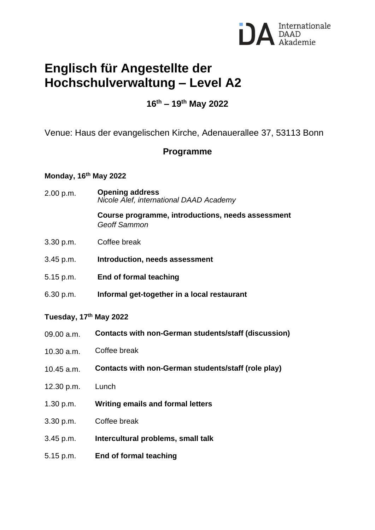

# **Englisch für Angestellte der Hochschulverwaltung – Level A2**

## **16th – 19th May 2022**

Venue: Haus der evangelischen Kirche, Adenauerallee 37, 53113 Bonn

### **Programme**

## **Monday, 16th May 2022**

2.00 p.m. **Opening address** *Nicole Alef, international DAAD Academy*

> **Course programme, introductions, needs assessment** *Geoff Sammon*

- 3.30 p.m. Coffee break
- 3.45 p.m. **Introduction, needs assessment**
- 5.15 p.m. **End of formal teaching**
- 6.30 p.m. **Informal get-together in a local restaurant**

#### **Tuesday, 17th May 2022**

- 09.00 a.m. **Contacts with non-German students/staff (discussion)**
- 10.30 a.m. Coffee break
- 10.45 a.m. **Contacts with non-German students/staff (role play)**
- 12.30 p.m. Lunch
- 1.30 p.m. **Writing emails and formal letters**
- 3.30 p.m. Coffee break
- 3.45 p.m. **Intercultural problems, small talk**
- 5.15 p.m. **End of formal teaching**